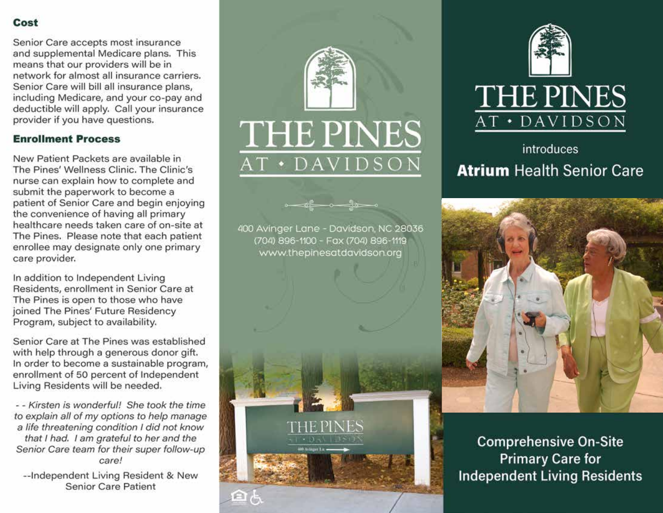# Cost

Senior Care accepts most insurance and supplemental Medicare plans. This means that our providers will be in network for almost all insurance carriers. Senior Care will bill all insurance plans, including Medicare, and your co-pay and deductible will apply. Call your insurance provider if you have questions.

### **Enrollment Process**

New Patient Packets are available in The Pines' Wellness Clinic, The Clinic's nurse can explain how to complete and submit the paperwork to become a patient of Senior Care and begin enjoying the convenience of having all primary healthcare needs taken care of on-site at The Pines. Please note that each patient enrollee may designate only one primary care provider.

In addition to Independent Living Residents, enrollment in Senior Care at The Pines is open to those who have joined The Pines' Future Residency Program, subject to availability.

Senior Care at The Pines was established with help through a generous donor gift. In order to become a sustainable program, enrollment of 50 percent of Independent Living Residents will be needed.

- - Kirsten is wonderful! She took the time to explain all of my options to help manage a life threatening condition I did not know that I had. I am grateful to her and the Senior Care team for their super follow-up care!

--Independent Living Resident & New **Senior Care Patient** 



400 Avinger Lane - Davidson, NC 28036 (704) 896-1100 - Fax (704) 896-1119 www.thepinesatdavidson.org

HE PIN



introduces **Atrium Health Senior Care** 



**Comprehensive On-Site Primary Care for Independent Living Residents**